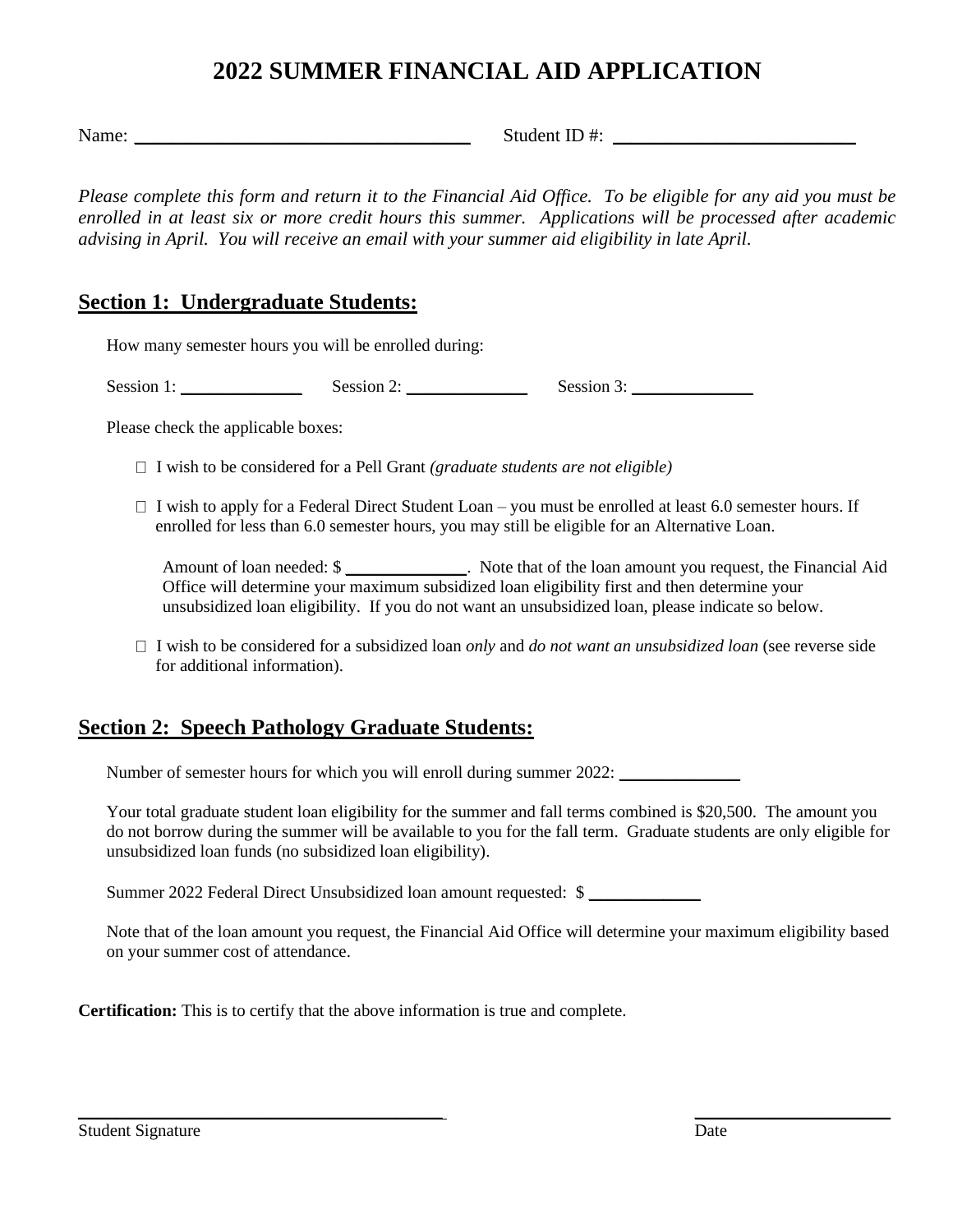# **2022 SUMMER FINANCIAL AID APPLICATION**

Name: \_\_\_\_\_\_\_\_\_\_\_\_\_\_\_\_\_\_\_\_\_\_\_\_\_\_\_\_\_\_\_\_\_\_\_\_ Student ID #: \_\_\_\_\_\_\_\_\_\_\_\_\_\_\_\_\_\_\_\_\_\_\_\_\_\_

*Please complete this form and return it to the Financial Aid Office. To be eligible for any aid you must be enrolled in at least six or more credit hours this summer. Applications will be processed after academic advising in April. You will receive an email with your summer aid eligibility in late April.*

### **Section 1: Undergraduate Students:**

How many semester hours you will be enrolled during:

Session 1: \_\_\_\_\_\_\_\_\_\_\_\_\_ Session 2: \_\_\_\_\_\_\_\_\_\_\_\_\_ Session 3: \_\_\_\_\_\_\_\_\_\_\_\_\_

Please check the applicable boxes:

- $\Box$  I wish to be considered for a Pell Grant *(graduate students are not eligible)*
- $\Box$  I wish to apply for a Federal Direct Student Loan you must be enrolled at least 6.0 semester hours. If enrolled for less than 6.0 semester hours, you may still be eligible for an Alternative Loan.

Amount of loan needed: \$ Office will determine your maximum subsidized loan eligibility first and then determine your unsubsidized loan eligibility. If you do not want an unsubsidized loan, please indicate so below.

 I wish to be considered for a subsidized loan *only* and *do not want an unsubsidized loan* (see reverse side for additional information).

### **Section 2: Speech Pathology Graduate Students:**

Number of semester hours for which you will enroll during summer 2022: \_\_\_\_\_\_\_\_\_\_\_\_\_

Your total graduate student loan eligibility for the summer and fall terms combined is \$20,500. The amount you do not borrow during the summer will be available to you for the fall term. Graduate students are only eligible for unsubsidized loan funds (no subsidized loan eligibility).

Summer 2022 Federal Direct Unsubsidized loan amount requested: \$

Note that of the loan amount you request, the Financial Aid Office will determine your maximum eligibility based on your summer cost of attendance.

\_\_\_\_\_\_\_\_\_\_\_\_\_\_\_\_\_\_\_\_\_\_\_\_\_\_\_\_\_\_\_\_\_\_\_\_\_\_\_ \_\_\_\_\_\_\_\_\_\_\_\_\_\_\_\_\_\_\_\_\_

**Certification:** This is to certify that the above information is true and complete.